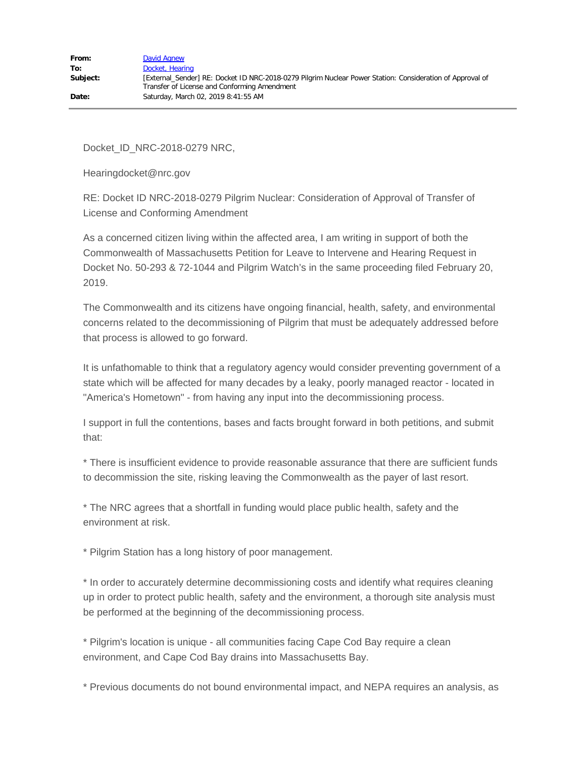Docket\_ID\_NRC-2018-0279 NRC,

Hearingdocket@nrc.gov

RE: Docket ID NRC-2018-0279 Pilgrim Nuclear: Consideration of Approval of Transfer of License and Conforming Amendment

As a concerned citizen living within the affected area, I am writing in support of both the Commonwealth of Massachusetts Petition for Leave to Intervene and Hearing Request in Docket No. 50-293 & 72-1044 and Pilgrim Watch's in the same proceeding filed February 20, 2019.

The Commonwealth and its citizens have ongoing financial, health, safety, and environmental concerns related to the decommissioning of Pilgrim that must be adequately addressed before that process is allowed to go forward.

It is unfathomable to think that a regulatory agency would consider preventing government of a state which will be affected for many decades by a leaky, poorly managed reactor - located in "America's Hometown" - from having any input into the decommissioning process.

I support in full the contentions, bases and facts brought forward in both petitions, and submit that:

\* There is insufficient evidence to provide reasonable assurance that there are sufficient funds to decommission the site, risking leaving the Commonwealth as the payer of last resort.

\* The NRC agrees that a shortfall in funding would place public health, safety and the environment at risk.

\* Pilgrim Station has a long history of poor management.

\* In order to accurately determine decommissioning costs and identify what requires cleaning up in order to protect public health, safety and the environment, a thorough site analysis must be performed at the beginning of the decommissioning process.

\* Pilgrim's location is unique - all communities facing Cape Cod Bay require a clean environment, and Cape Cod Bay drains into Massachusetts Bay.

\* Previous documents do not bound environmental impact, and NEPA requires an analysis, as